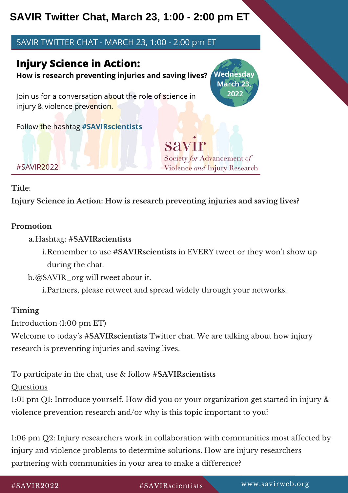## **SAVIR Twitter Chat, March 23, 1:00 - 2:00 pm ET**

### SAVIR TWITTER CHAT - MARCH 23, 1:00 - 2:00 pm ET

## **Injury Science in Action:**

Wednesday How is research preventing injuries and saving lives?

Join us for a conversation about the role of science in injury & violence prevention.

Follow the hashtag #SAVIRscientists

savir Society for Advancement of Violence and Injury Research

March 23. 2022

#### **Title:**

**Injury Science in Action: How is research preventing injuries and saving lives?**

#### **Promotion**

#SAVIR2022

- Hashtag: **#SAVIRscientists** a.
	- i.Remember to use #**SAVIRscientists** in EVERY tweet or they won't show up during the chat.

@SAVIR\_org will tweet about it. b.

Partners, please retweet and spread widely through your networks. i.

#### **Timing**

Introduction (1:00 pm ET)

Welcome to today's **#SAVIRscientists** Twitter chat. We are talking about how injury research is preventing injuries and saving lives.

To participate in the chat, use & follow **#SAVIRscientists**

**Ouestions** 

1:01 pm Q1: Introduce yourself. How did you or your organization get started in injury & violence prevention research and/or why is this topic important to you?

1:06 pm Q2: Injury researchers work in collaboration with communities most affected by injury and violence problems to determine solutions. How are injury researchers partnering with communities in your area to make a difference?

# www.savirweb.org SAVIR2022 #SAVIRscientists